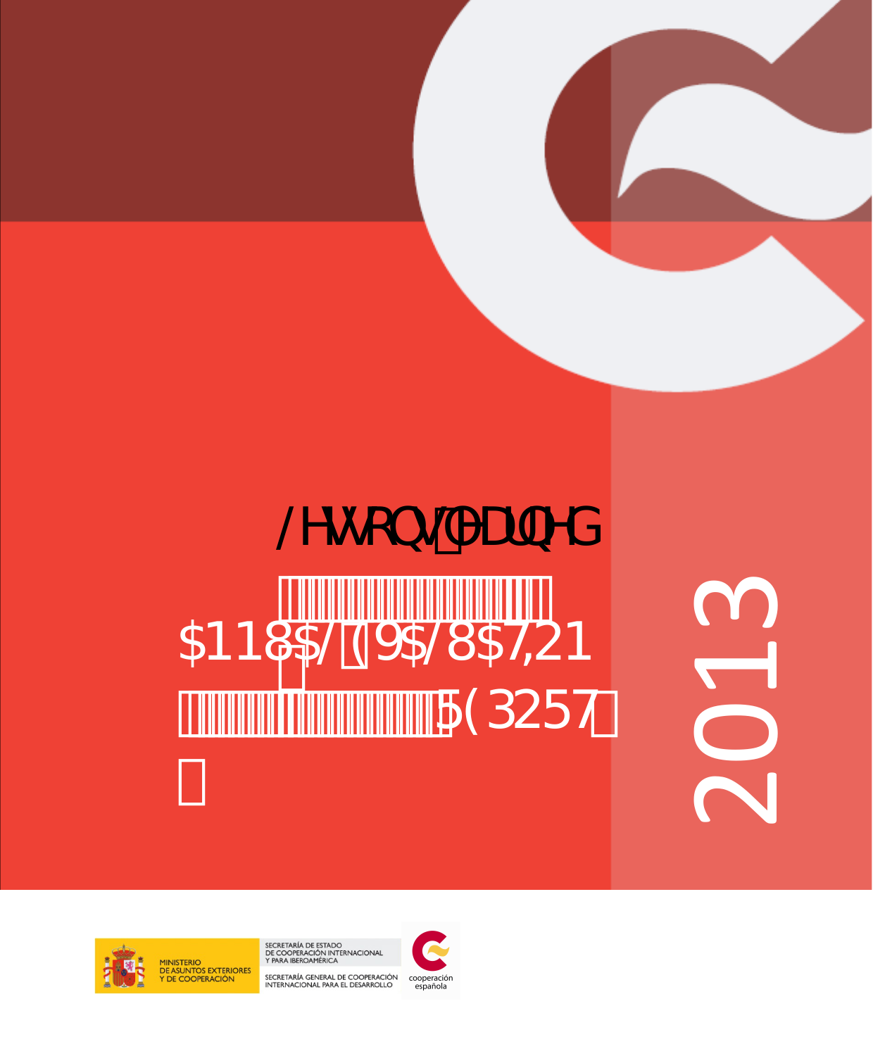# @gcbg"YUfbYX

5BBI 5@915@ 5HCB **FSDCFH**   $\frac{1}{2}$ 

2013



MINISTERIO<br>DE ASUNTOS EXTERIORES<br>Y DE COOPERACIÓN

SECRETARÍA DE ESTADO<br>DE COOPERACIÓN INTERNACIONAL<br>Y PARA IBEROAMÉRICA

SECRETARÍA GENERAL DE COOPERACIÓN cooperación<br>INTERNACIONAL PARA EL DESARROLLO española

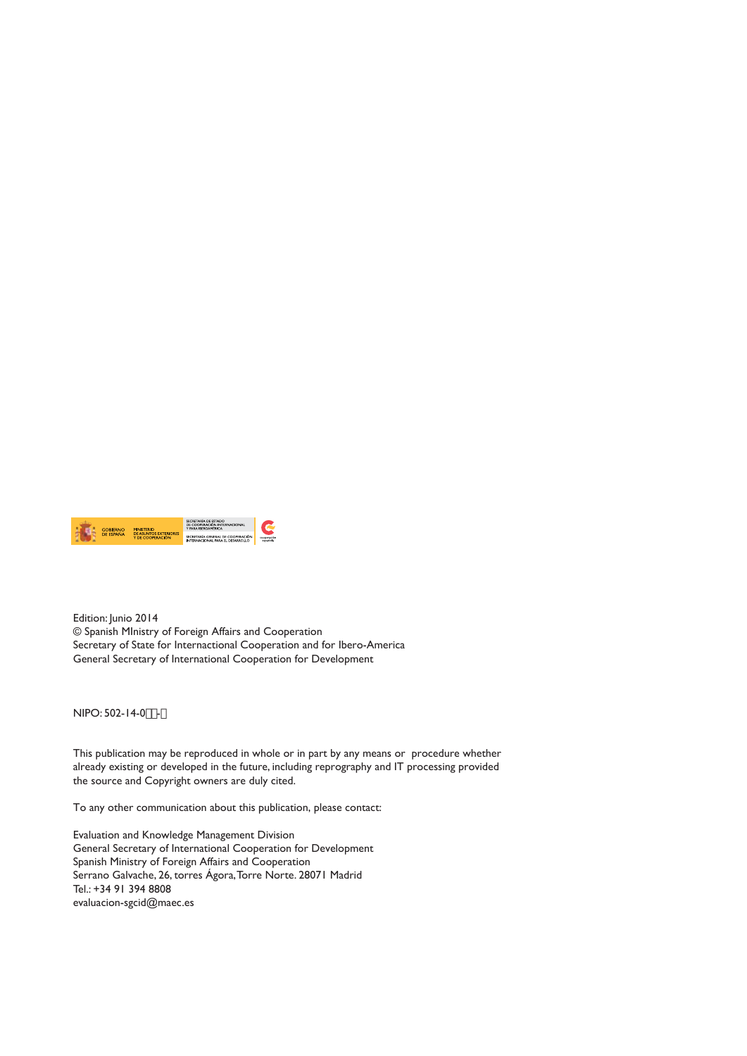

Edition: Junio 2014 © Spanish MInistry of Foreign Affairs and Cooperation Secretary of State for Internactional Cooperation and for Ibero-America General Secretary of International Cooperation for Development

NIPO: 502-14-0( $(-8)$ 

This publication may be reproduced in whole or in part by any means or procedure whether already existing or developed in the future, including reprography and IT processing provided the source and Copyright owners are duly cited.

To any other communication about this publication, please contact:

Evaluation and Knowledge Management Division General Secretary of International Cooperation for Development Spanish Ministry of Foreign Affairs and Cooperation Serrano Galvache, 26, torres Ágora, Torre Norte. 28071 Madrid Tel.: +34 91 394 8808 evaluacion-sgcid@maec.es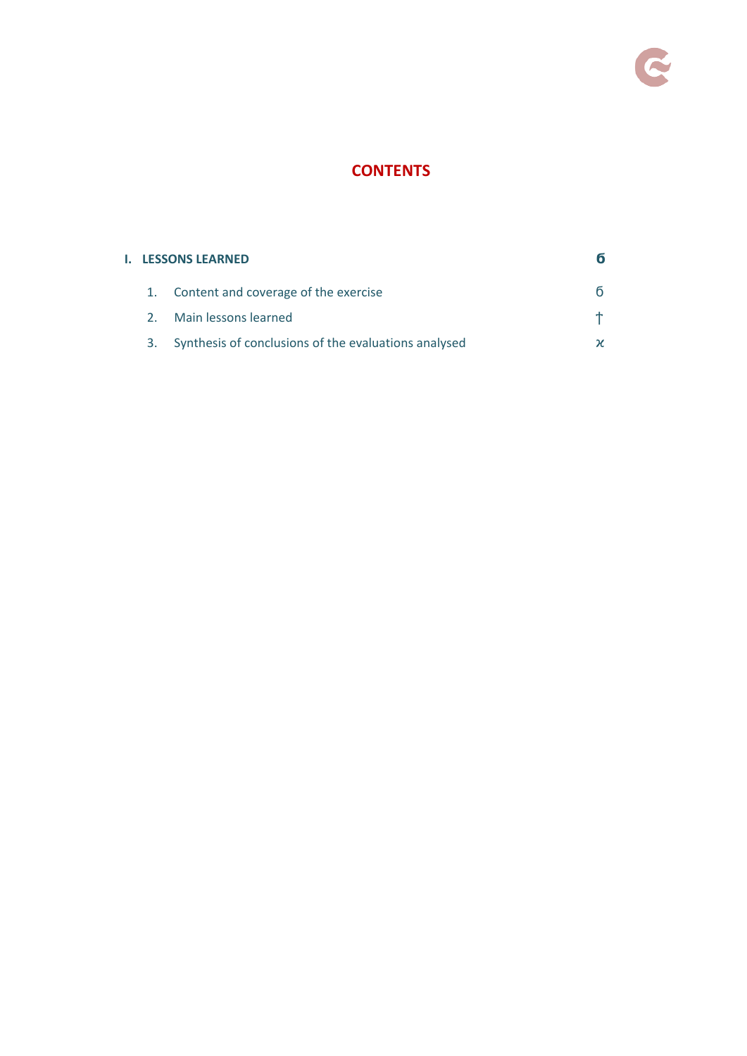

# **CONTENTS**

### **I. LESSONS LEARNED**

- 1. Content and coverage of the exercise
- 2. Main lessons learned
- 3. Synthesis of conclusions of the evaluations analysed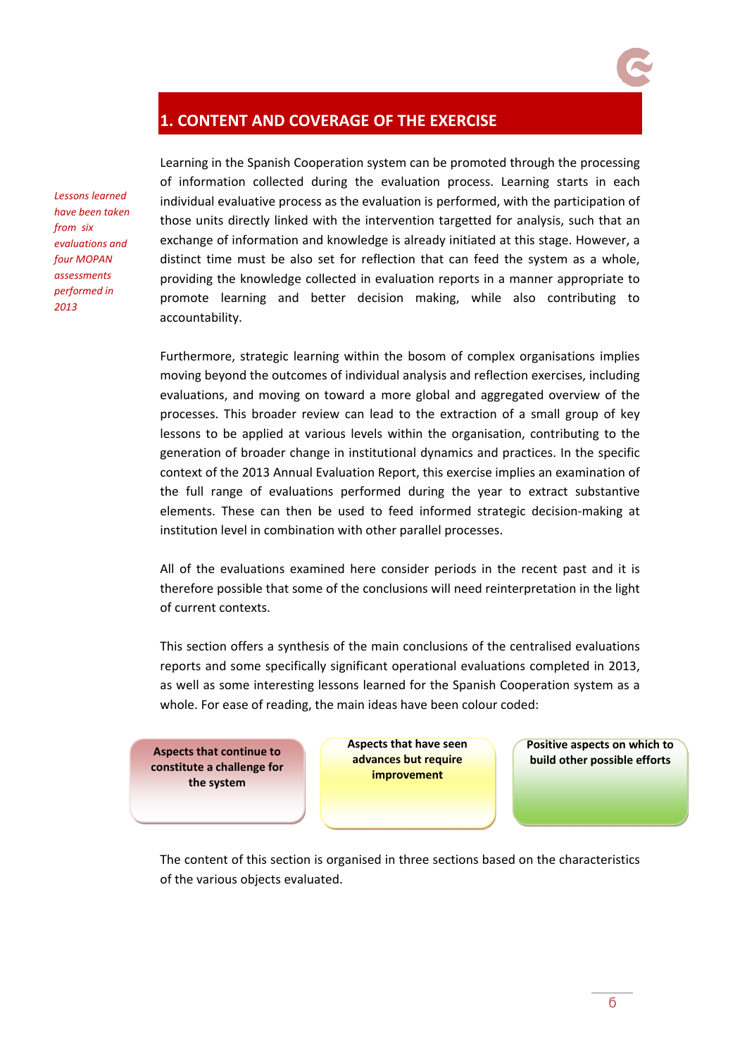# **1. CONTENT AND COVERAGE OF THE EXERCISE**

*Lessons learned have been taken from six evaluations and four MOPAN assessments performed in 2013*

Learning in the Spanish Cooperation system can be promoted through the processing of information collected during the evaluation process. Learning starts in each individual evaluative process as the evaluation is performed, with the participation of those units directly linked with the intervention targetted for analysis, such that an exchange of information and knowledge is already initiated at this stage. However, a distinct time must be also set for reflection that can feed the system as a whole, providing the knowledge collected in evaluation reports in a manner appropriate to promote learning and better decision making, while also contributing to accountability.

Furthermore, strategic learning within the bosom of complex organisations implies moving beyond the outcomes of individual analysis and reflection exercises, including evaluations, and moving on toward a more global and aggregated overview of the processes. This broader review can lead to the extraction of a small group of key lessons to be applied at various levels within the organisation, contributing to the generation of broader change in institutional dynamics and practices. In the specific context of the 2013 Annual Evaluation Report, this exercise implies an examination of the full range of evaluations performed during the year to extract substantive elements. These can then be used to feed informed strategic decision-making at institution level in combination with other parallel processes.

All of the evaluations examined here consider periods in the recent past and it is therefore possible that some of the conclusions will need reinterpretation in the light of current contexts.

This section offers a synthesis of the main conclusions of the centralised evaluations reports and some specifically significant operational evaluations completed in 2013, as well as some interesting lessons learned for the Spanish Cooperation system as a whole. For ease of reading, the main ideas have been colour coded:

**constitute a challenge for the system**

**Aspects that have seen advances but require improvement**

**Positive aspects on which to build** other possible efforts **and the continue to possible possible continue continues continues continues continues continues continues continues continues continues continues continues con** 

The content of this section is organised in three sections based on the characteristics of the various objects evaluated.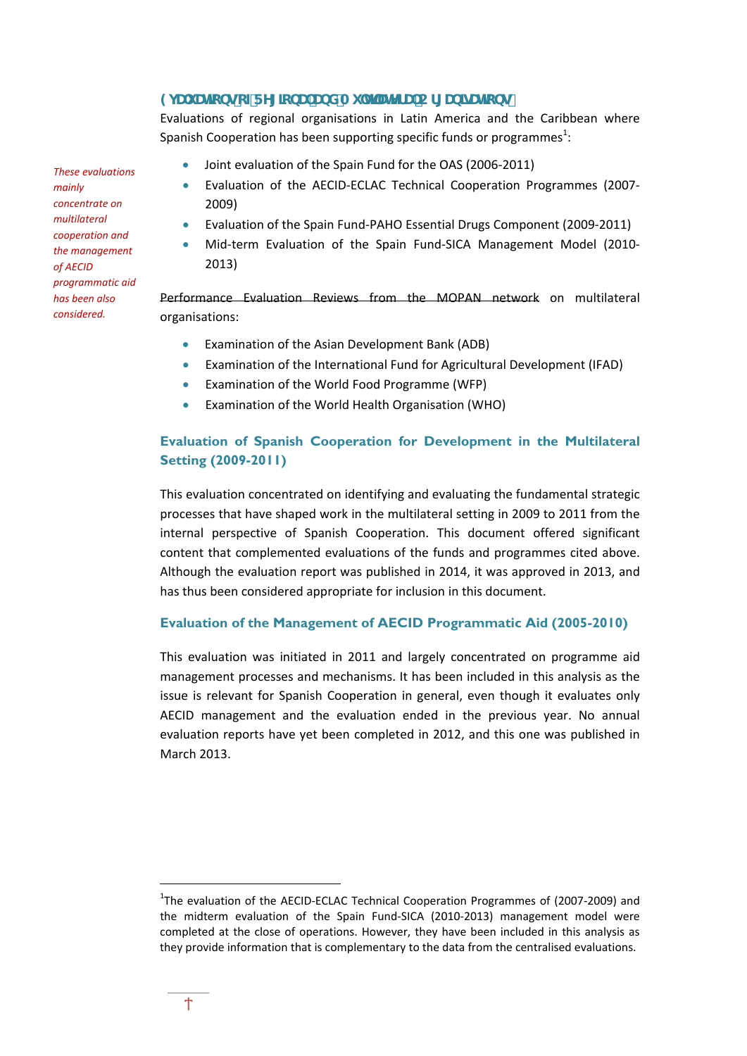## **9j Ui UncbgcZFY[]cbU UbXAi `h]'UnYfU Cf[Ub]dJh]cbg**

Evaluations of regional organisations in Latin America and the Caribbean where Spanish Cooperation has been supporting specific funds or programmes $^1$ :

Joint evaluation of the Spain Fund for the OAS (2006‐2011)

- Evaluation of the AECID‐ECLAC Technical Cooperation Programmes (2007‐ 2009)
- Evaluation of the Spain Fund‐PAHO Essential Drugs Component (2009‐2011)
- Mid-term Evaluation of the Spain Fund-SICA Management Model (2010-2013)

Performance Evaluation Reviews from the MOPAN network on multilateral organisations:

- Examination of the Asian Development Bank (ADB)
- Examination of the International Fund for Agricultural Development (IFAD)
- Examination of the World Food Programme (WFP)
- Examination of the World Health Organisation (WHO)

## **Evaluation of Spanish Cooperation for Development in the Multilateral Setting (2009-2011)**

This evaluation concentrated on identifying and evaluating the fundamental strategic processes that have shaped work in the multilateral setting in 2009 to 2011 from the internal perspective of Spanish Cooperation. This document offered significant content that complemented evaluations of the funds and programmes cited above. Although the evaluation report was published in 2014, it was approved in 2013, and has thus been considered appropriate for inclusion in this document.

#### **Evaluation of the Management of AECID Programmatic Aid (2005-2010)**

This evaluation was initiated in 2011 and largely concentrated on programme aid management processes and mechanisms. It has been included in this analysis as the issue is relevant for Spanish Cooperation in general, even though it evaluates only AECID management and the evaluation ended in the previous year. No annual evaluation reports have yet been completed in 2012, and this one was published in March 2013.

*These evaluations mainly concentrate on multilateral cooperation and the management of AECID programmatic aid has been also considered.*

<sup>&</sup>lt;sup>1</sup>The evaluation of the AECID-ECLAC Technical Cooperation Programmes of (2007-2009) and the midterm evaluation of the Spain Fund-SICA (2010-2013) management model were completed at the close of operations. However, they have been included in this analysis as they provide information that is complementary to the data from the centralised evaluations.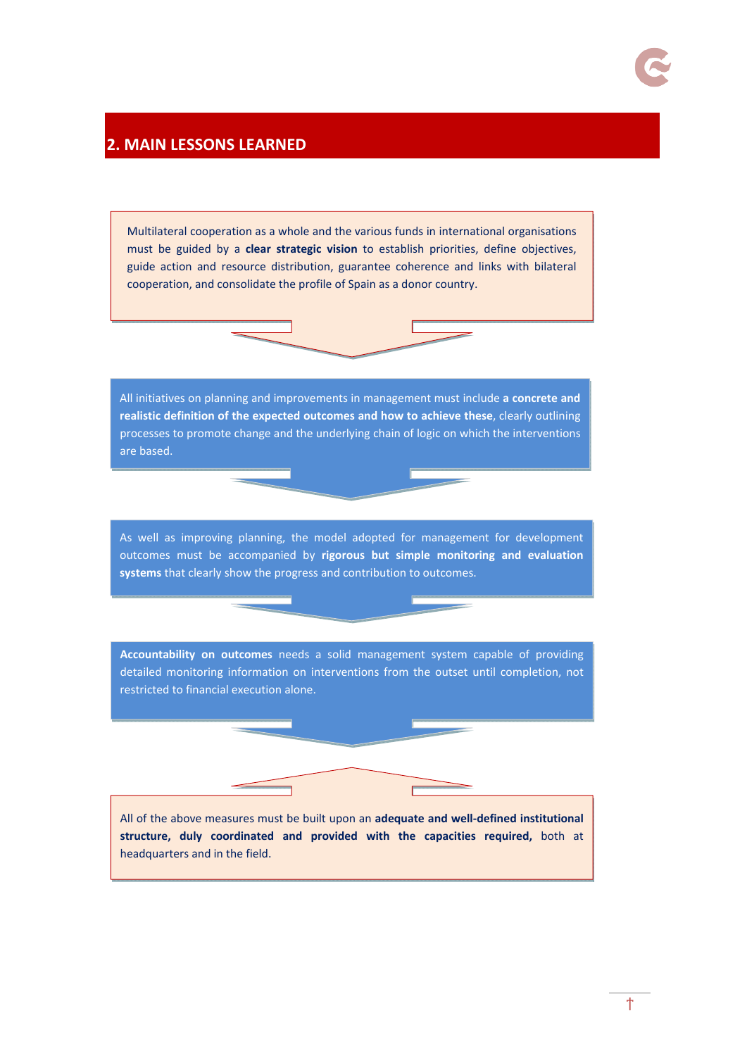## **2. MAIN LESSONS LEARNED**

Multilateral cooperation as a whole and the various funds in international organisations must be guided by a **clear strategic vision** to establish priorities, define objectives, guide action and resource distribution, guarantee coherence and links with bilateral cooperation, and consolidate the profile of Spain as a donor country.

All initiatives on planning and improvements in management must include **a concrete and realistic definition of the expected outcomes and how to achieve these**, clearly outlining processes to promote change and the underlying chain of logic on which the interventions are based.

As well as improving planning, the model adopted for management for development outcomes must be accompanied by **rigorous but simple monitoring and evaluation systems** that clearly show the progress and contribution to outcomes.

**Accountability on outcomes** needs a solid management system capable of providing detailed monitoring information on interventions from the outset until completion, not restricted to financial execution alone.

All of the above measures must be built upon an **adequate and well‐defined institutional structure, duly coordinated and provided with the capacities required,** both at headquarters and in the field.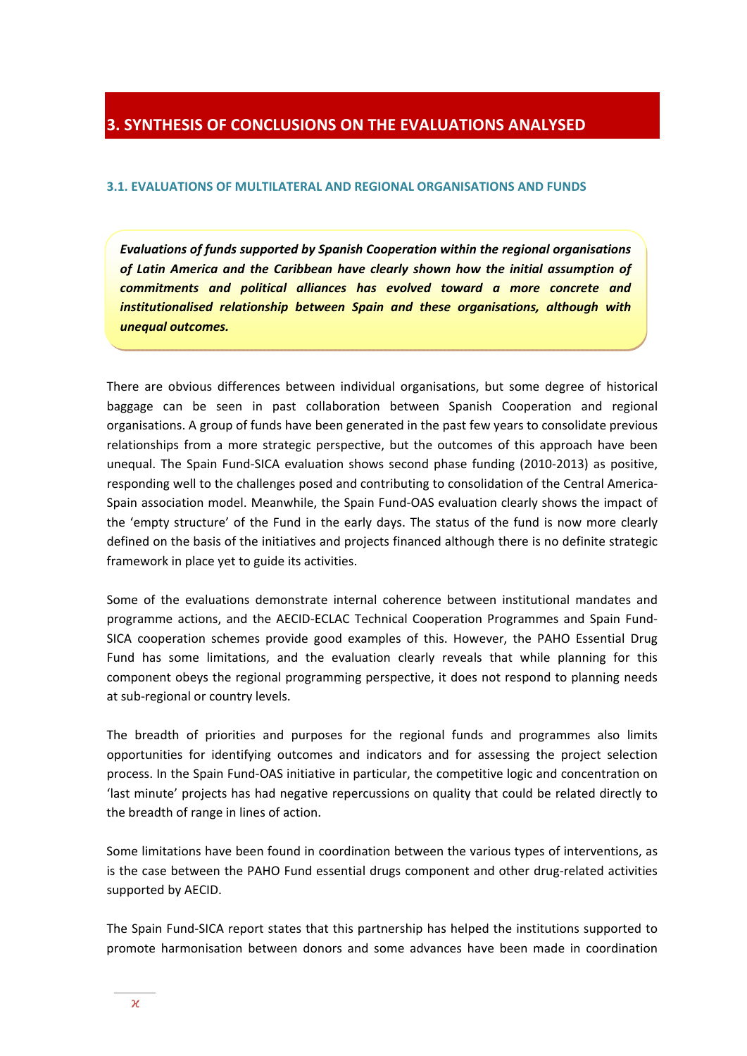# **3. SYNTHESIS OF CONCLUSIONS ON THE EVALUATIONS ANALYSED**

#### **3.1. EVALUATIONS OF MULTILATERAL AND REGIONAL ORGANISATIONS AND FUNDS**

*Evaluations of funds supported by Spanish Cooperation within the regional organisations of Latin America and the Caribbean have clearly shown how the initial assumption of commitments and political alliances has evolved toward a more concrete and institutionalised relationship between Spain and these organisations, although with unequal outcomes.*

There are obvious differences between individual organisations, but some degree of historical baggage can be seen in past collaboration between Spanish Cooperation and regional organisations. A group of funds have been generated in the past few years to consolidate previous relationships from a more strategic perspective, but the outcomes of this approach have been unequal. The Spain Fund‐SICA evaluation shows second phase funding (2010‐2013) as positive, responding well to the challenges posed and contributing to consolidation of the Central America-Spain association model. Meanwhile, the Spain Fund‐OAS evaluation clearly shows the impact of the 'empty structure' of the Fund in the early days. The status of the fund is now more clearly defined on the basis of the initiatives and projects financed although there is no definite strategic framework in place yet to guide its activities.

Some of the evaluations demonstrate internal coherence between institutional mandates and programme actions, and the AECID‐ECLAC Technical Cooperation Programmes and Spain Fund‐ SICA cooperation schemes provide good examples of this. However, the PAHO Essential Drug Fund has some limitations, and the evaluation clearly reveals that while planning for this component obeys the regional programming perspective, it does not respond to planning needs at sub‐regional or country levels.

The breadth of priorities and purposes for the regional funds and programmes also limits opportunities for identifying outcomes and indicators and for assessing the project selection process. In the Spain Fund‐OAS initiative in particular, the competitive logic and concentration on 'last minute' projects has had negative repercussions on quality that could be related directly to the breadth of range in lines of action.

Some limitations have been found in coordination between the various types of interventions, as is the case between the PAHO Fund essential drugs component and other drug-related activities supported by AECID.

The Spain Fund‐SICA report states that this partnership has helped the institutions supported to promote harmonisation between donors and some advances have been made in coordination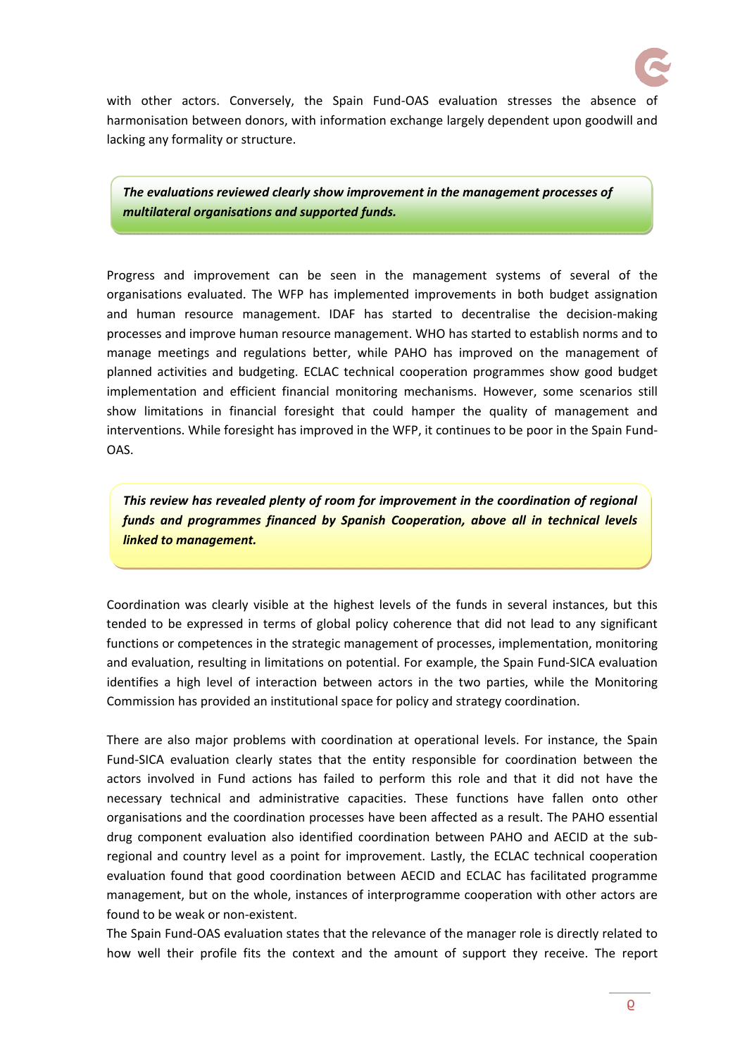

with other actors. Conversely, the Spain Fund-OAS evaluation stresses the absence of harmonisation between donors, with information exchange largely dependent upon goodwill and lacking any formality or structure.

*The evaluations reviewed clearly show improvement in the management processes of multilateral organisations and supported funds.*

Progress and improvement can be seen in the management systems of several of the organisations evaluated. The WFP has implemented improvements in both budget assignation and human resource management. IDAF has started to decentralise the decision‐making processes and improve human resource management. WHO has started to establish norms and to manage meetings and regulations better, while PAHO has improved on the management of planned activities and budgeting. ECLAC technical cooperation programmes show good budget implementation and efficient financial monitoring mechanisms. However, some scenarios still show limitations in financial foresight that could hamper the quality of management and interventions. While foresight has improved in the WFP, it continues to be poor in the Spain Fund‐ OAS.

*This review has revealed plenty of room for improvement in the coordination of regional funds and programmes financed by Spanish Cooperation, above all in technical levels linked to management.*

Coordination was clearly visible at the highest levels of the funds in several instances, but this tended to be expressed in terms of global policy coherence that did not lead to any significant functions or competences in the strategic management of processes, implementation, monitoring and evaluation, resulting in limitations on potential. For example, the Spain Fund‐SICA evaluation identifies a high level of interaction between actors in the two parties, while the Monitoring Commission has provided an institutional space for policy and strategy coordination.

There are also major problems with coordination at operational levels. For instance, the Spain Fund‐SICA evaluation clearly states that the entity responsible for coordination between the actors involved in Fund actions has failed to perform this role and that it did not have the necessary technical and administrative capacities. These functions have fallen onto other organisations and the coordination processes have been affected as a result. The PAHO essential drug component evaluation also identified coordination between PAHO and AECID at the sub‐ regional and country level as a point for improvement. Lastly, the ECLAC technical cooperation evaluation found that good coordination between AECID and ECLAC has facilitated programme management, but on the whole, instances of interprogramme cooperation with other actors are found to be weak or non‐existent.

The Spain Fund‐OAS evaluation states that the relevance of the manager role is directly related to how well their profile fits the context and the amount of support they receive. The report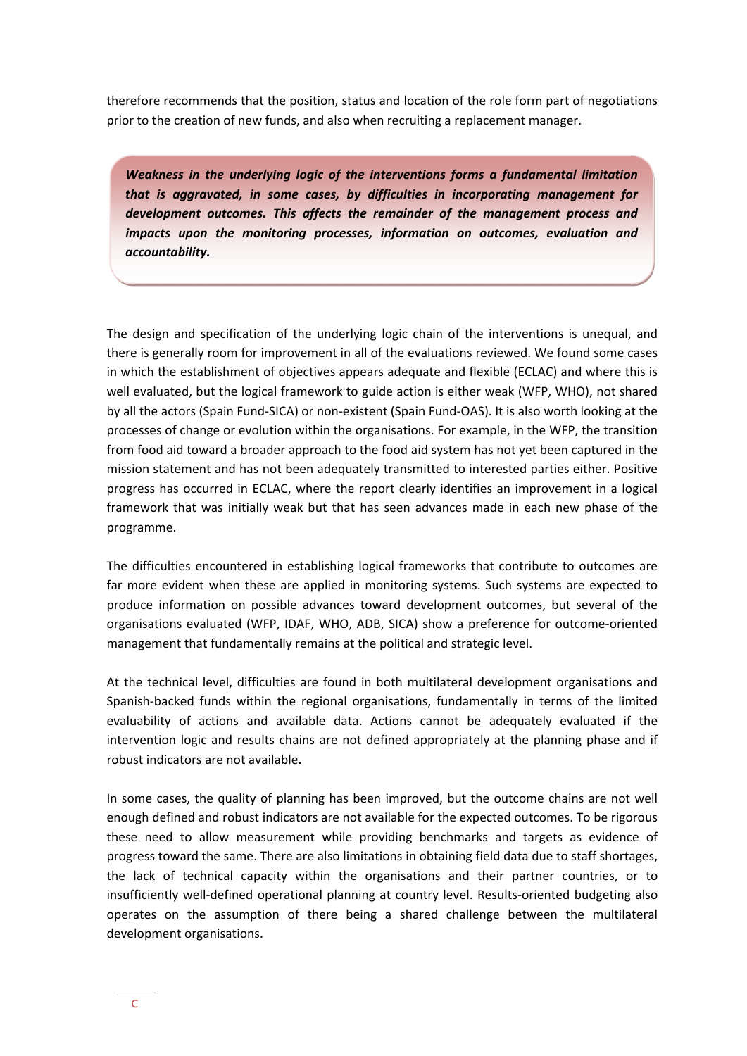therefore recommends that the position, status and location of the role form part of negotiations prior to the creation of new funds, and also when recruiting a replacement manager.

*Weakness in the underlying logic of the interventions forms a fundamental limitation that is aggravated, in some cases, by difficulties in incorporating management for development outcomes. This affects the remainder of the management process and impacts upon the monitoring processes, information on outcomes, evaluation and accountability.*

The design and specification of the underlying logic chain of the interventions is unequal, and there is generally room for improvement in all of the evaluations reviewed. We found some cases in which the establishment of objectives appears adequate and flexible (ECLAC) and where this is well evaluated, but the logical framework to guide action is either weak (WFP, WHO), not shared by all the actors (Spain Fund‐SICA) or non‐existent (Spain Fund‐OAS). It is also worth looking at the processes of change or evolution within the organisations. For example, in the WFP, the transition from food aid toward a broader approach to the food aid system has not yet been captured in the mission statement and has not been adequately transmitted to interested parties either. Positive progress has occurred in ECLAC, where the report clearly identifies an improvement in a logical framework that was initially weak but that has seen advances made in each new phase of the programme.

The difficulties encountered in establishing logical frameworks that contribute to outcomes are far more evident when these are applied in monitoring systems. Such systems are expected to produce information on possible advances toward development outcomes, but several of the organisations evaluated (WFP, IDAF, WHO, ADB, SICA) show a preference for outcome‐oriented management that fundamentally remains at the political and strategic level.

At the technical level, difficulties are found in both multilateral development organisations and Spanish‐backed funds within the regional organisations, fundamentally in terms of the limited evaluability of actions and available data. Actions cannot be adequately evaluated if the intervention logic and results chains are not defined appropriately at the planning phase and if robust indicators are not available.

In some cases, the quality of planning has been improved, but the outcome chains are not well enough defined and robust indicators are not available for the expected outcomes. To be rigorous these need to allow measurement while providing benchmarks and targets as evidence of progress toward the same. There are also limitations in obtaining field data due to staff shortages, the lack of technical capacity within the organisations and their partner countries, or to insufficiently well-defined operational planning at country level. Results-oriented budgeting also operates on the assumption of there being a shared challenge between the multilateral development organisations.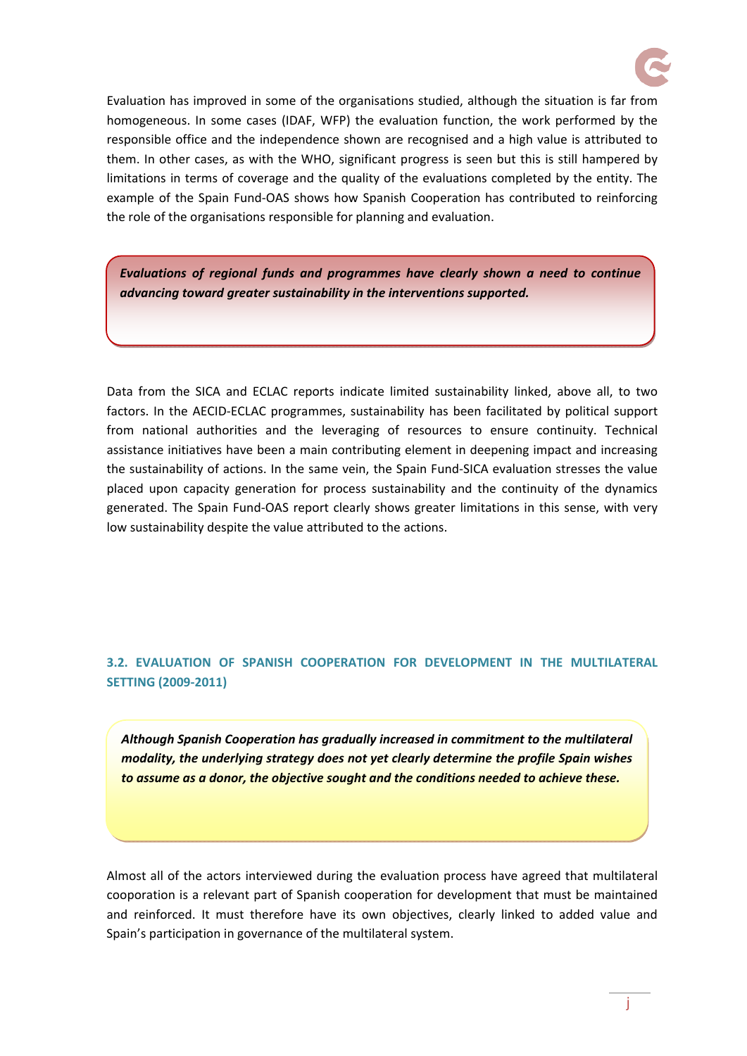

Evaluation has improved in some of the organisations studied, although the situation is far from homogeneous. In some cases (IDAF, WFP) the evaluation function, the work performed by the responsible office and the independence shown are recognised and a high value is attributed to them. In other cases, as with the WHO, significant progress is seen but this is still hampered by limitations in terms of coverage and the quality of the evaluations completed by the entity. The example of the Spain Fund‐OAS shows how Spanish Cooperation has contributed to reinforcing the role of the organisations responsible for planning and evaluation.

*Evaluations of regional funds and programmes have clearly shown a need to continue advancing toward greater sustainability in the interventions supported.*

Data from the SICA and ECLAC reports indicate limited sustainability linked, above all, to two factors. In the AECID-ECLAC programmes, sustainability has been facilitated by political support from national authorities and the leveraging of resources to ensure continuity. Technical assistance initiatives have been a main contributing element in deepening impact and increasing the sustainability of actions. In the same vein, the Spain Fund‐SICA evaluation stresses the value placed upon capacity generation for process sustainability and the continuity of the dynamics generated. The Spain Fund‐OAS report clearly shows greater limitations in this sense, with very low sustainability despite the value attributed to the actions.

## **3.2. EVALUATION OF SPANISH COOPERATION FOR DEVELOPMENT IN THE MULTILATERAL SETTING (2009‐2011)**

*Although Spanish Cooperation has gradually increased in commitment to the multilateral modality, the underlying strategy does not yet clearly determine the profile Spain wishes to assume as a donor, the objective sought and the conditions needed to achieve these.*

Almost all of the actors interviewed during the evaluation process have agreed that multilateral cooporation is a relevant part of Spanish cooperation for development that must be maintained and reinforced. It must therefore have its own objectives, clearly linked to added value and Spain's participation in governance of the multilateral system.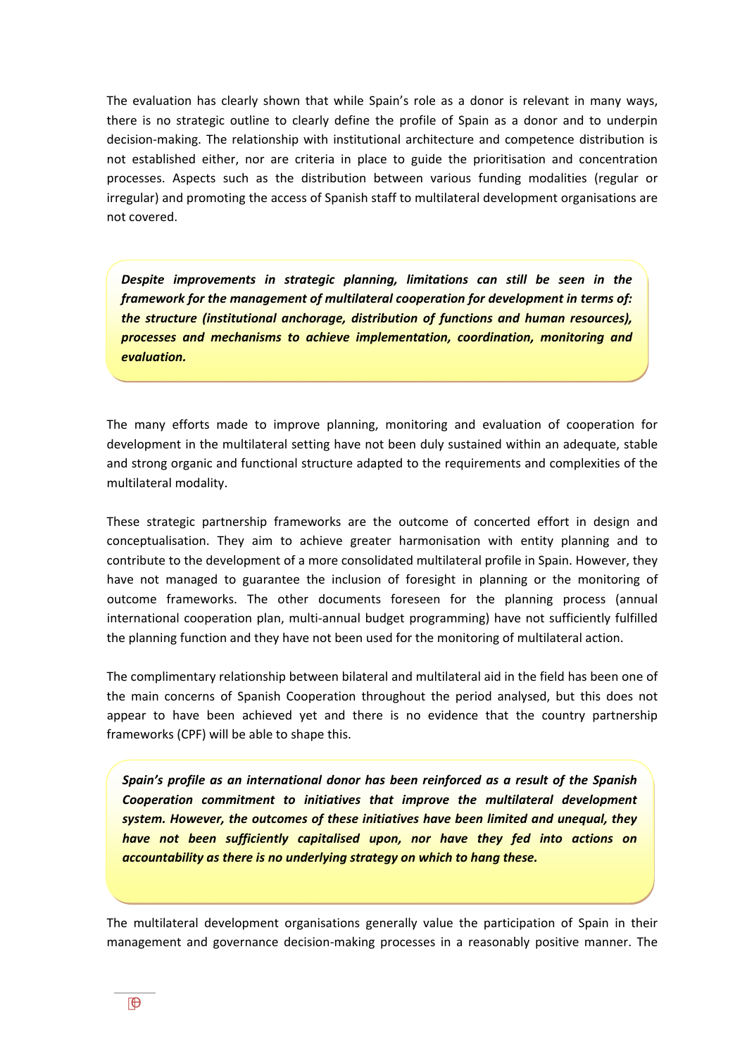The evaluation has clearly shown that while Spain's role as a donor is relevant in many ways, there is no strategic outline to clearly define the profile of Spain as a donor and to underpin decision‐making. The relationship with institutional architecture and competence distribution is not established either, nor are criteria in place to guide the prioritisation and concentration processes. Aspects such as the distribution between various funding modalities (regular or irregular) and promoting the access of Spanish staff to multilateral development organisations are not covered.

*Despite improvements in strategic planning, limitations can still be seen in the framework for the management of multilateral cooperation for development in terms of: the structure (institutional anchorage, distribution of functions and human resources), processes and mechanisms to achieve implementation, coordination, monitoring and evaluation.*

The many efforts made to improve planning, monitoring and evaluation of cooperation for development in the multilateral setting have not been duly sustained within an adequate, stable and strong organic and functional structure adapted to the requirements and complexities of the multilateral modality.

These strategic partnership frameworks are the outcome of concerted effort in design and conceptualisation. They aim to achieve greater harmonisation with entity planning and to contribute to the development of a more consolidated multilateral profile in Spain. However, they have not managed to guarantee the inclusion of foresight in planning or the monitoring of outcome frameworks. The other documents foreseen for the planning process (annual international cooperation plan, multi‐annual budget programming) have not sufficiently fulfilled the planning function and they have not been used for the monitoring of multilateral action.

The complimentary relationship between bilateral and multilateral aid in the field has been one of the main concerns of Spanish Cooperation throughout the period analysed, but this does not appear to have been achieved yet and there is no evidence that the country partnership frameworks (CPF) will be able to shape this.

*Spain's profile as an international donor has been reinforced as a result of the Spanish Cooperation commitment to initiatives that improve the multilateral development system. However, the outcomes of these initiatives have been limited and unequal, they have not been sufficiently capitalised upon, nor have they fed into actions on accountability as there is no underlying strategy on which to hang these.*

The multilateral development organisations generally value the participation of Spain in their management and governance decision‐making processes in a reasonably positive manner. The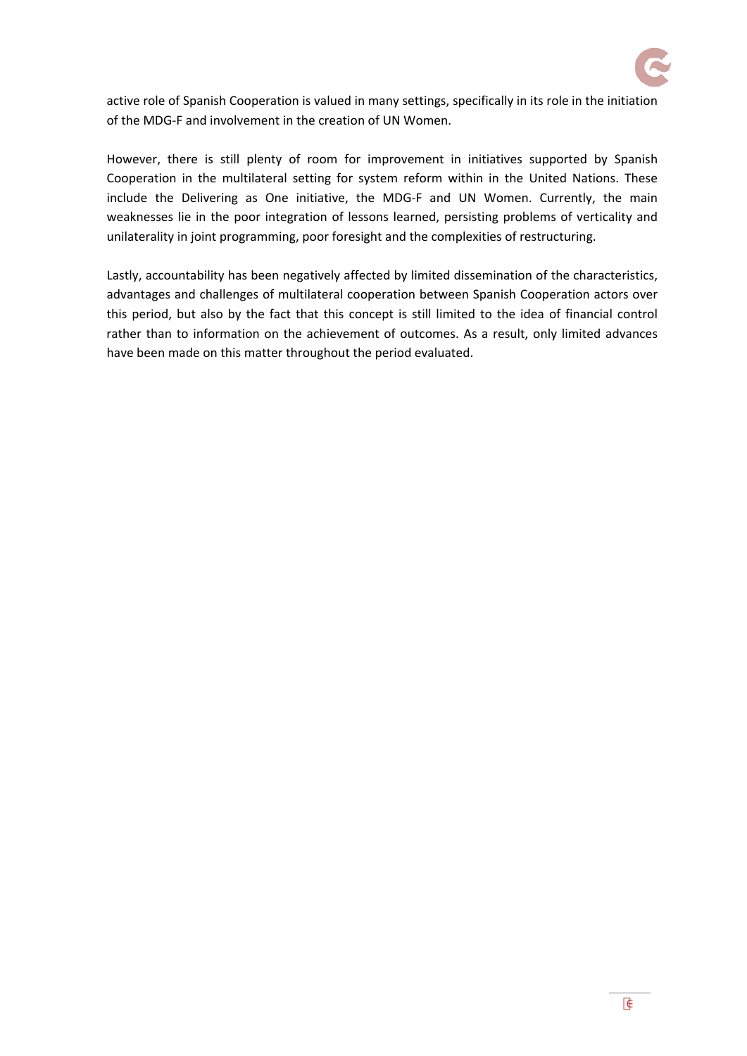

active role of Spanish Cooperation is valued in many settings, specifically in its role in the initiation of the MDG‐F and involvement in the creation of UN Women.

However, there is still plenty of room for improvement in initiatives supported by Spanish Cooperation in the multilateral setting for system reform within in the United Nations. These include the Delivering as One initiative, the MDG‐F and UN Women. Currently, the main weaknesses lie in the poor integration of lessons learned, persisting problems of verticality and unilaterality in joint programming, poor foresight and the complexities of restructuring.

Lastly, accountability has been negatively affected by limited dissemination of the characteristics, advantages and challenges of multilateral cooperation between Spanish Cooperation actors over this period, but also by the fact that this concept is still limited to the idea of financial control rather than to information on the achievement of outcomes. As a result, only limited advances have been made on this matter throughout the period evaluated.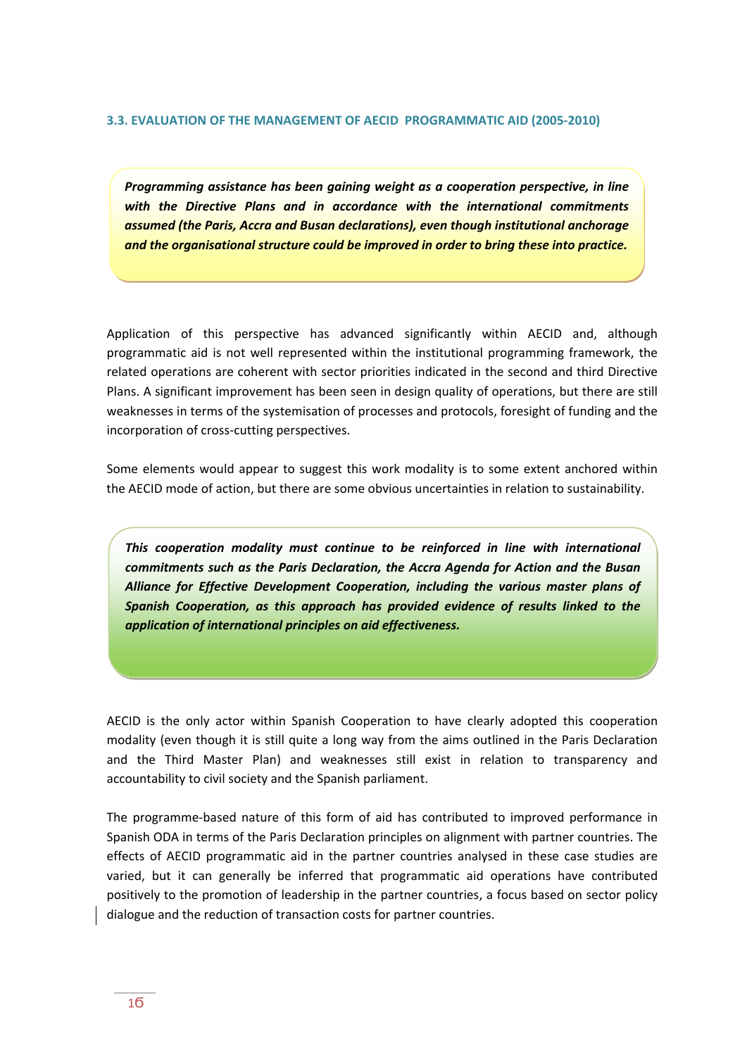#### **3.3. EVALUATION OF THE MANAGEMENT OF AECID PROGRAMMATIC AID (2005‐2010)**

*Programming assistance has been gaining weight as a cooperation perspective, in line with the Directive Plans and in accordance with the international commitments assumed (the Paris, Accra and Busan declarations), even though institutional anchorage and the organisational structure could be improved in order to bring these into practice.*

Application of this perspective has advanced significantly within AECID and, although programmatic aid is not well represented within the institutional programming framework, the related operations are coherent with sector priorities indicated in the second and third Directive Plans. A significant improvement has been seen in design quality of operations, but there are still weaknesses in terms of the systemisation of processes and protocols, foresight of funding and the incorporation of cross‐cutting perspectives.

Some elements would appear to suggest this work modality is to some extent anchored within the AECID mode of action, but there are some obvious uncertainties in relation to sustainability.

*This cooperation modality must continue to be reinforced in line with international commitments such as the Paris Declaration, the Accra Agenda for Action and the Busan Alliance for Effective Development Cooperation, including the various master plans of Spanish Cooperation, as this approach has provided evidence of results linked to the application of international principles on aid effectiveness.*

AECID is the only actor within Spanish Cooperation to have clearly adopted this cooperation modality (even though it is still quite a long way from the aims outlined in the Paris Declaration and the Third Master Plan) and weaknesses still exist in relation to transparency and accountability to civil society and the Spanish parliament.

The programme‐based nature of this form of aid has contributed to improved performance in Spanish ODA in terms of the Paris Declaration principles on alignment with partner countries. The effects of AECID programmatic aid in the partner countries analysed in these case studies are varied, but it can generally be inferred that programmatic aid operations have contributed positively to the promotion of leadership in the partner countries, a focus based on sector policy dialogue and the reduction of transaction costs for partner countries.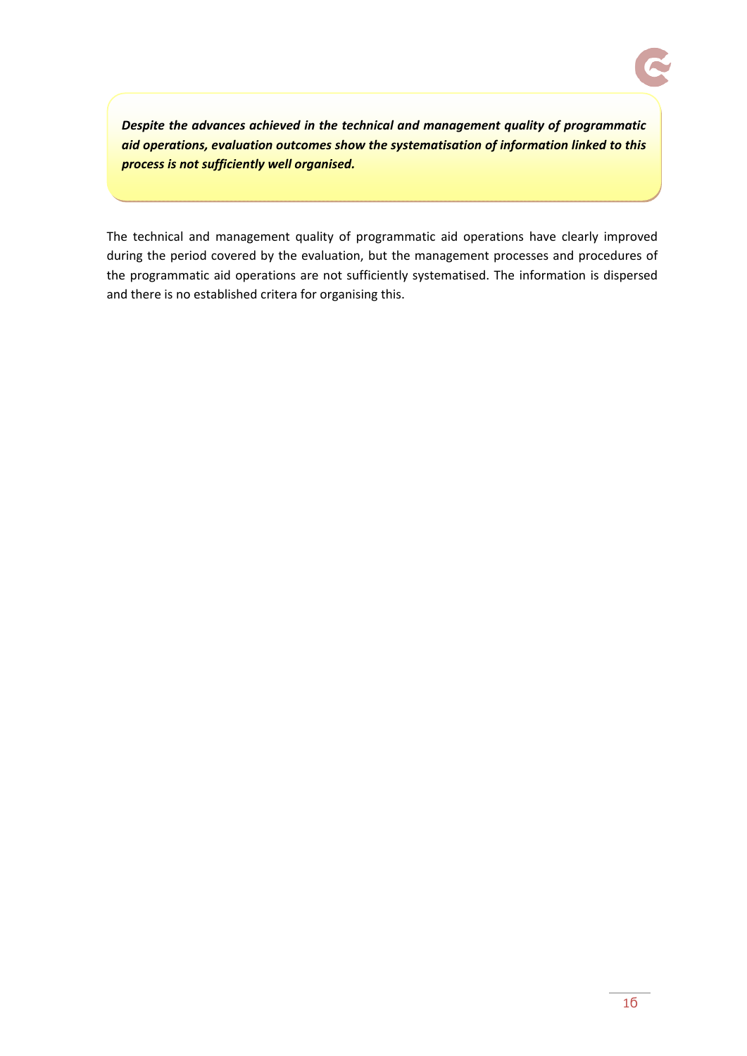*Despite the advances achieved in the technical and management quality of programmatic aid operations, evaluation outcomes show the systematisation of information linked to this process is not sufficiently well organised.*

The technical and management quality of programmatic aid operations have clearly improved during the period covered by the evaluation, but the management processes and procedures of the programmatic aid operations are not sufficiently systematised. The information is dispersed and there is no established critera for organising this.